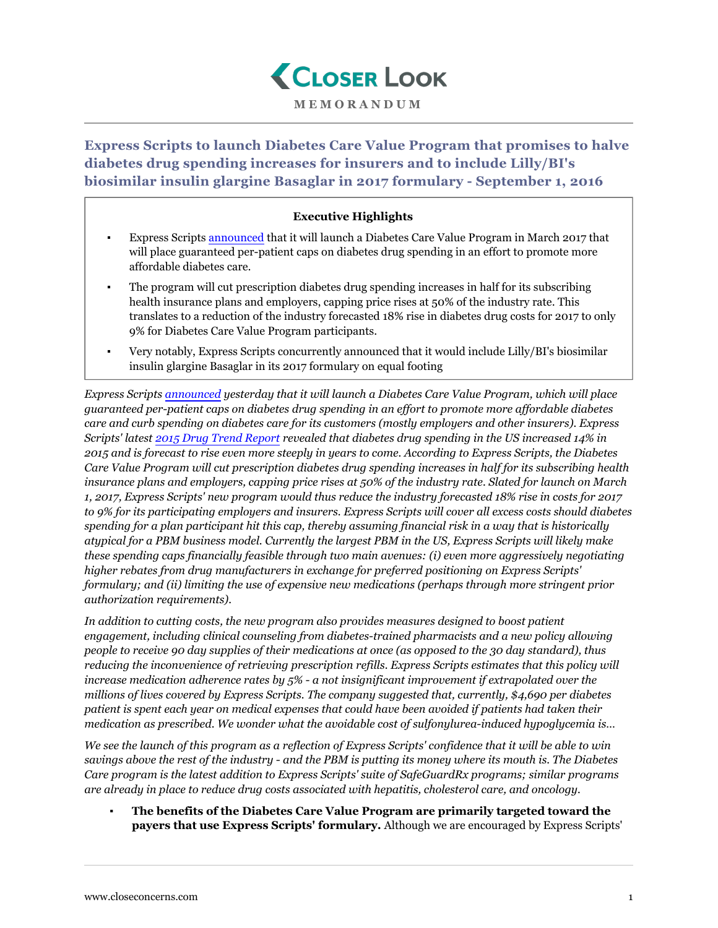

**MEMORANDUM**

**Express Scripts to launch Diabetes Care Value Program that promises to halve diabetes drug spending increases for insurers and to include Lilly/BI's biosimilar insulin glargine Basaglar in 2017 formulary - September 1, 2016**

## **Executive Highlights**

- Express Scripts [announced](http://phx.corporate-ir.net/phoenix.zhtml?c=69641&p=irol-newsArticle&ID=2198422) that it will launch a Diabetes Care Value Program in March 2017 that will place guaranteed per-patient caps on diabetes drug spending in an effort to promote more affordable diabetes care.
- The program will cut prescription diabetes drug spending increases in half for its subscribing health insurance plans and employers, capping price rises at 50% of the industry rate. This translates to a reduction of the industry forecasted 18% rise in diabetes drug costs for 2017 to only 9% for Diabetes Care Value Program participants.
- Very notably, Express Scripts concurrently announced that it would include Lilly/BI's biosimilar insulin glargine Basaglar in its 2017 formulary on equal footing

*Express Scripts [announced](http://phx.corporate-ir.net/phoenix.zhtml?c=69641&p=irol-newsArticle&ID=2198422) yesterday that it will launch a Diabetes Care Value Program, which will place guaranteed per-patient caps on diabetes drug spending in an effort to promote more affordable diabetes care and curb spending on diabetes care for its customers (mostly employers and other insurers). Express Scripts' latest [2015 Drug Trend Report](http://lab.express-scripts.com/lab/drug-trend-report) revealed that diabetes drug spending in the US increased 14% in 2015 and is forecast to rise even more steeply in years to come. According to Express Scripts, the Diabetes Care Value Program will cut prescription diabetes drug spending increases in half for its subscribing health insurance plans and employers, capping price rises at 50% of the industry rate. Slated for launch on March 1, 2017, Express Scripts' new program would thus reduce the industry forecasted 18% rise in costs for 2017 to 9% for its participating employers and insurers. Express Scripts will cover all excess costs should diabetes spending for a plan participant hit this cap, thereby assuming financial risk in a way that is historically atypical for a PBM business model. Currently the largest PBM in the US, Express Scripts will likely make these spending caps financially feasible through two main avenues: (i) even more aggressively negotiating higher rebates from drug manufacturers in exchange for preferred positioning on Express Scripts' formulary; and (ii) limiting the use of expensive new medications (perhaps through more stringent prior authorization requirements).*

*In addition to cutting costs, the new program also provides measures designed to boost patient engagement, including clinical counseling from diabetes-trained pharmacists and a new policy allowing people to receive 90 day supplies of their medications at once (as opposed to the 30 day standard), thus* reducing the inconvenience of retrieving prescription refills. Express Scripts estimates that this policy will *increase medication adherence rates by 5% - a not insignificant improvement if extrapolated over the millions of lives covered by Express Scripts. The company suggested that, currently, \$4,690 per diabetes patient is spent each year on medical expenses that could have been avoided if patients had taken their medication as prescribed. We wonder what the avoidable cost of sulfonylurea-induced hypoglycemia is…*

*We see the launch of this program as a reflection of Express Scripts' confidence that it will be able to win savings above the rest of the industry - and the PBM is putting its money where its mouth is. The Diabetes Care program is the latest addition to Express Scripts' suite of SafeGuardRx programs; similar programs are already in place to reduce drug costs associated with hepatitis, cholesterol care, and oncology.*

**The benefits of the Diabetes Care Value Program are primarily targeted toward the payers that use Express Scripts' formulary.** Although we are encouraged by Express Scripts'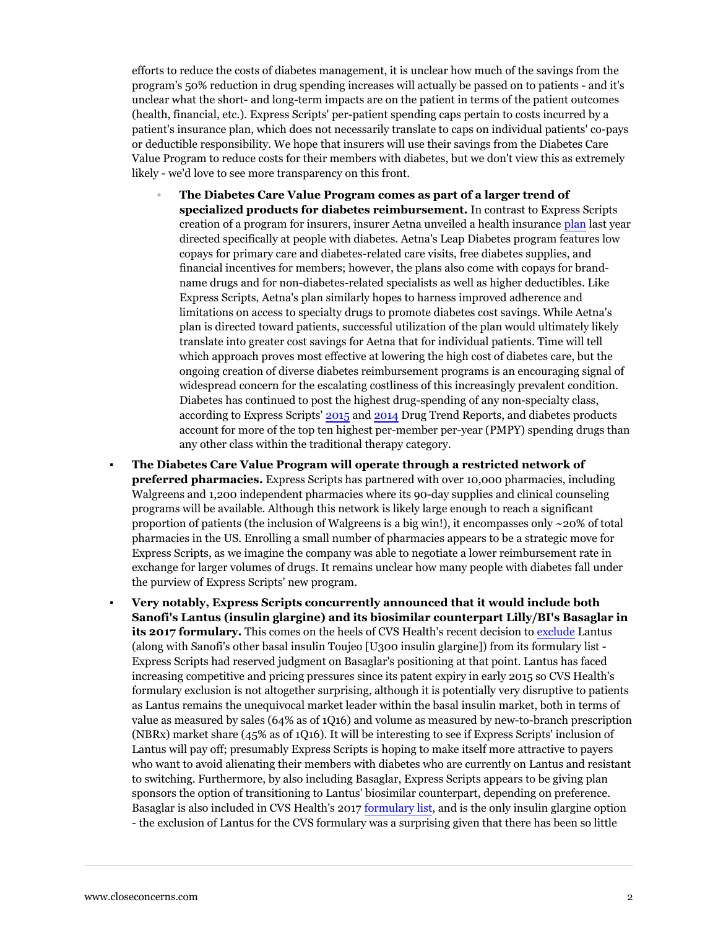efforts to reduce the costs of diabetes management, it is unclear how much of the savings from the program's 50% reduction in drug spending increases will actually be passed on to patients - and it's unclear what the short- and long-term impacts are on the patient in terms of the patient outcomes (health, financial, etc.). Express Scripts' per-patient spending caps pertain to costs incurred by a patient's insurance plan, which does not necessarily translate to caps on individual patients' co-pays or deductible responsibility. We hope that insurers will use their savings from the Diabetes Care Value Program to reduce costs for their members with diabetes, but we don't view this as extremely likely - we'd love to see more transparency on this front.

- **The Diabetes Care Value Program comes as part of a larger trend of specialized products for diabetes reimbursement.** In contrast to Express Scripts creation of a program for insurers, insurer Aetna unveiled a health insurance [plan](https://www.closeconcerns.com/knowledgebase/r/c617e2fc) last year directed specifically at people with diabetes. Aetna's Leap Diabetes program features low copays for primary care and diabetes-related care visits, free diabetes supplies, and financial incentives for members; however, the plans also come with copays for brandname drugs and for non-diabetes-related specialists as well as higher deductibles. Like Express Scripts, Aetna's plan similarly hopes to harness improved adherence and limitations on access to specialty drugs to promote diabetes cost savings. While Aetna's plan is directed toward patients, successful utilization of the plan would ultimately likely translate into greater cost savings for Aetna that for individual patients. Time will tell which approach proves most effective at lowering the high cost of diabetes care, but the ongoing creation of diverse diabetes reimbursement programs is an encouraging signal of widespread concern for the escalating costliness of this increasingly prevalent condition. Diabetes has continued to post the highest drug-spending of any non-specialty class, according to Express Scripts' [2015](http://lab.express-scripts.com/lab/drug-trend-report) and [2014](https://www.closeconcerns.com/knowledgebase/r/5acb6be2) Drug Trend Reports, and diabetes products account for more of the top ten highest per-member per-year (PMPY) spending drugs than any other class within the traditional therapy category.
- **The Diabetes Care Value Program will operate through a restricted network of preferred pharmacies.** Express Scripts has partnered with over 10,000 pharmacies, including Walgreens and 1,200 independent pharmacies where its 90-day supplies and clinical counseling programs will be available. Although this network is likely large enough to reach a significant proportion of patients (the inclusion of Walgreens is a big win!), it encompasses only  $\sim$ 20% of total pharmacies in the US. Enrolling a small number of pharmacies appears to be a strategic move for Express Scripts, as we imagine the company was able to negotiate a lower reimbursement rate in exchange for larger volumes of drugs. It remains unclear how many people with diabetes fall under the purview of Express Scripts' new program.
- **Very notably, Express Scripts concurrently announced that it would include both Sanofi's Lantus (insulin glargine) and its biosimilar counterpart Lilly/BI's Basaglar in its 2017 formulary.** This comes on the heels of CVS Health's recent decision to [exclude](https://www.closeconcerns.com/knowledgebase/r/0a4ded1c) Lantus (along with Sanofi's other basal insulin Toujeo [U300 insulin glargine]) from its formulary list - Express Scripts had reserved judgment on Basaglar's positioning at that point. Lantus has faced increasing competitive and pricing pressures since its patent expiry in early 2015 so CVS Health's formulary exclusion is not altogether surprising, although it is potentially very disruptive to patients as Lantus remains the unequivocal market leader within the basal insulin market, both in terms of value as measured by sales (64% as of 1Q16) and volume as measured by new-to-branch prescription (NBRx) market share (45% as of 1Q16). It will be interesting to see if Express Scripts' inclusion of Lantus will pay off; presumably Express Scripts is hoping to make itself more attractive to payers who want to avoid alienating their members with diabetes who are currently on Lantus and resistant to switching. Furthermore, by also including Basaglar, Express Scripts appears to be giving plan sponsors the option of transitioning to Lantus' biosimilar counterpart, depending on preference. Basaglar is also included in CVS Health's 2017 [formulary list,](https://www.closeconcerns.com/knowledgebase/r/ca4e478d) and is the only insulin glargine option - the exclusion of Lantus for the CVS formulary was a surprising given that there has been so little